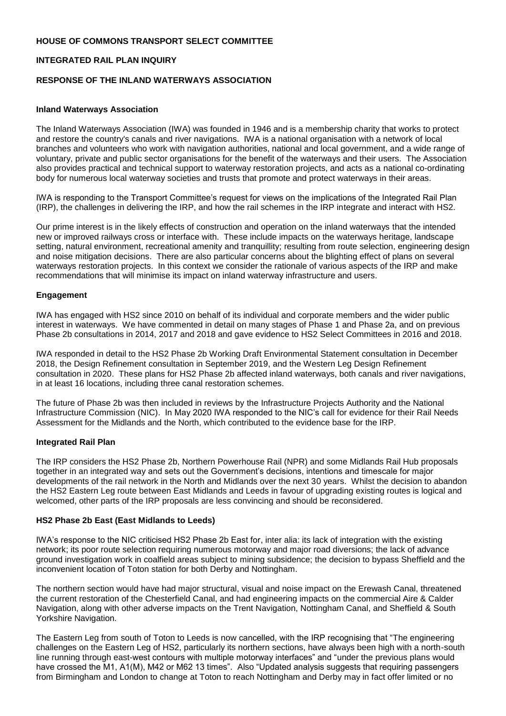# **HOUSE OF COMMONS TRANSPORT SELECT COMMITTEE**

# **INTEGRATED RAIL PLAN INQUIRY**

## **RESPONSE OF THE INLAND WATERWAYS ASSOCIATION**

#### **Inland Waterways Association**

The Inland Waterways Association (IWA) was founded in 1946 and is a membership charity that works to protect and restore the country's canals and river navigations. IWA is a national organisation with a network of local branches and volunteers who work with navigation authorities, national and local government, and a wide range of voluntary, private and public sector organisations for the benefit of the waterways and their users. The Association also provides practical and technical support to waterway restoration projects, and acts as a national co-ordinating body for numerous local waterway societies and trusts that promote and protect waterways in their areas.

IWA is responding to the Transport Committee's request for views on the implications of the Integrated Rail Plan (IRP), the challenges in delivering the IRP, and how the rail schemes in the IRP integrate and interact with HS2.

Our prime interest is in the likely effects of construction and operation on the inland waterways that the intended new or improved railways cross or interface with. These include impacts on the waterways heritage, landscape setting, natural environment, recreational amenity and tranquillity; resulting from route selection, engineering design and noise mitigation decisions. There are also particular concerns about the blighting effect of plans on several waterways restoration projects. In this context we consider the rationale of various aspects of the IRP and make recommendations that will minimise its impact on inland waterway infrastructure and users.

## **Engagement**

IWA has engaged with HS2 since 2010 on behalf of its individual and corporate members and the wider public interest in waterways. We have commented in detail on many stages of Phase 1 and Phase 2a, and on previous Phase 2b consultations in 2014, 2017 and 2018 and gave evidence to HS2 Select Committees in 2016 and 2018.

IWA responded in detail to the HS2 Phase 2b Working Draft Environmental Statement consultation in December 2018, the Design Refinement consultation in September 2019, and the Western Leg Design Refinement consultation in 2020. These plans for HS2 Phase 2b affected inland waterways, both canals and river navigations, in at least 16 locations, including three canal restoration schemes.

The future of Phase 2b was then included in reviews by the Infrastructure Projects Authority and the National Infrastructure Commission (NIC). In May 2020 IWA responded to the NIC's call for evidence for their Rail Needs Assessment for the Midlands and the North, which contributed to the evidence base for the IRP.

#### **Integrated Rail Plan**

The IRP considers the HS2 Phase 2b, Northern Powerhouse Rail (NPR) and some Midlands Rail Hub proposals together in an integrated way and sets out the Government's decisions, intentions and timescale for major developments of the rail network in the North and Midlands over the next 30 years. Whilst the decision to abandon the HS2 Eastern Leg route between East Midlands and Leeds in favour of upgrading existing routes is logical and welcomed, other parts of the IRP proposals are less convincing and should be reconsidered.

#### **HS2 Phase 2b East (East Midlands to Leeds)**

IWA's response to the NIC criticised HS2 Phase 2b East for, inter alia: its lack of integration with the existing network; its poor route selection requiring numerous motorway and major road diversions; the lack of advance ground investigation work in coalfield areas subject to mining subsidence; the decision to bypass Sheffield and the inconvenient location of Toton station for both Derby and Nottingham.

The northern section would have had major structural, visual and noise impact on the Erewash Canal, threatened the current restoration of the Chesterfield Canal, and had engineering impacts on the commercial Aire & Calder Navigation, along with other adverse impacts on the Trent Navigation, Nottingham Canal, and Sheffield & South Yorkshire Navigation.

The Eastern Leg from south of Toton to Leeds is now cancelled, with the IRP recognising that "The engineering challenges on the Eastern Leg of HS2, particularly its northern sections, have always been high with a north-south line running through east-west contours with multiple motorway interfaces" and "under the previous plans would have crossed the M1, A1(M), M42 or M62 13 times". Also "Updated analysis suggests that requiring passengers from Birmingham and London to change at Toton to reach Nottingham and Derby may in fact offer limited or no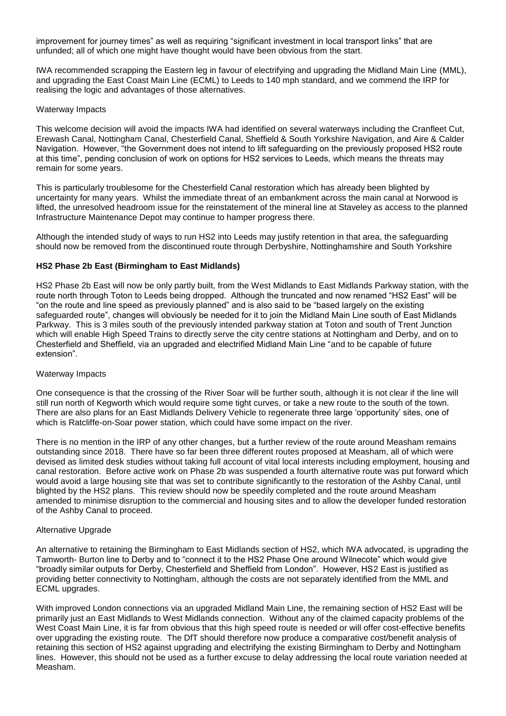improvement for journey times" as well as requiring "significant investment in local transport links" that are unfunded; all of which one might have thought would have been obvious from the start.

IWA recommended scrapping the Eastern leg in favour of electrifying and upgrading the Midland Main Line (MML), and upgrading the East Coast Main Line (ECML) to Leeds to 140 mph standard, and we commend the IRP for realising the logic and advantages of those alternatives.

#### Waterway Impacts

This welcome decision will avoid the impacts IWA had identified on several waterways including the Cranfleet Cut, Erewash Canal, Nottingham Canal, Chesterfield Canal, Sheffield & South Yorkshire Navigation, and Aire & Calder Navigation. However, "the Government does not intend to lift safeguarding on the previously proposed HS2 route at this time", pending conclusion of work on options for HS2 services to Leeds, which means the threats may remain for some years.

This is particularly troublesome for the Chesterfield Canal restoration which has already been blighted by uncertainty for many years. Whilst the immediate threat of an embankment across the main canal at Norwood is lifted, the unresolved headroom issue for the reinstatement of the mineral line at Staveley as access to the planned Infrastructure Maintenance Depot may continue to hamper progress there.

Although the intended study of ways to run HS2 into Leeds may justify retention in that area, the safeguarding should now be removed from the discontinued route through Derbyshire, Nottinghamshire and South Yorkshire

## **HS2 Phase 2b East (Birmingham to East Midlands)**

HS2 Phase 2b East will now be only partly built, from the West Midlands to East Midlands Parkway station, with the route north through Toton to Leeds being dropped. Although the truncated and now renamed "HS2 East" will be "on the route and line speed as previously planned" and is also said to be "based largely on the existing safeguarded route", changes will obviously be needed for it to join the Midland Main Line south of East Midlands Parkway. This is 3 miles south of the previously intended parkway station at Toton and south of Trent Junction which will enable High Speed Trains to directly serve the city centre stations at Nottingham and Derby, and on to Chesterfield and Sheffield, via an upgraded and electrified Midland Main Line "and to be capable of future extension".

#### Waterway Impacts

One consequence is that the crossing of the River Soar will be further south, although it is not clear if the line will still run north of Kegworth which would require some tight curves, or take a new route to the south of the town. There are also plans for an East Midlands Delivery Vehicle to regenerate three large 'opportunity' sites, one of which is Ratcliffe-on-Soar power station, which could have some impact on the river.

There is no mention in the IRP of any other changes, but a further review of the route around Measham remains outstanding since 2018. There have so far been three different routes proposed at Measham, all of which were devised as limited desk studies without taking full account of vital local interests including employment, housing and canal restoration. Before active work on Phase 2b was suspended a fourth alternative route was put forward which would avoid a large housing site that was set to contribute significantly to the restoration of the Ashby Canal, until blighted by the HS2 plans. This review should now be speedily completed and the route around Measham amended to minimise disruption to the commercial and housing sites and to allow the developer funded restoration of the Ashby Canal to proceed.

#### Alternative Upgrade

An alternative to retaining the Birmingham to East Midlands section of HS2, which IWA advocated, is upgrading the Tamworth- Burton line to Derby and to "connect it to the HS2 Phase One around Wilnecote" which would give "broadly similar outputs for Derby, Chesterfield and Sheffield from London". However, HS2 East is justified as providing better connectivity to Nottingham, although the costs are not separately identified from the MML and ECML upgrades.

With improved London connections via an upgraded Midland Main Line, the remaining section of HS2 East will be primarily just an East Midlands to West Midlands connection. Without any of the claimed capacity problems of the West Coast Main Line, it is far from obvious that this high speed route is needed or will offer cost-effective benefits over upgrading the existing route. The DfT should therefore now produce a comparative cost/benefit analysis of retaining this section of HS2 against upgrading and electrifying the existing Birmingham to Derby and Nottingham lines. However, this should not be used as a further excuse to delay addressing the local route variation needed at Measham.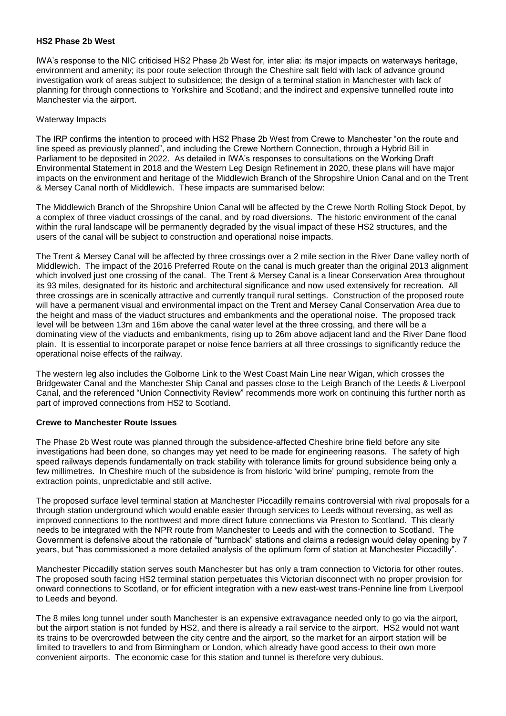#### **HS2 Phase 2b West**

IWA's response to the NIC criticised HS2 Phase 2b West for, inter alia: its major impacts on waterways heritage, environment and amenity; its poor route selection through the Cheshire salt field with lack of advance ground investigation work of areas subject to subsidence; the design of a terminal station in Manchester with lack of planning for through connections to Yorkshire and Scotland; and the indirect and expensive tunnelled route into Manchester via the airport.

### Waterway Impacts

The IRP confirms the intention to proceed with HS2 Phase 2b West from Crewe to Manchester "on the route and line speed as previously planned", and including the Crewe Northern Connection, through a Hybrid Bill in Parliament to be deposited in 2022. As detailed in IWA's responses to consultations on the Working Draft Environmental Statement in 2018 and the Western Leg Design Refinement in 2020, these plans will have major impacts on the environment and heritage of the Middlewich Branch of the Shropshire Union Canal and on the Trent & Mersey Canal north of Middlewich. These impacts are summarised below:

The Middlewich Branch of the Shropshire Union Canal will be affected by the Crewe North Rolling Stock Depot, by a complex of three viaduct crossings of the canal, and by road diversions. The historic environment of the canal within the rural landscape will be permanently degraded by the visual impact of these HS2 structures, and the users of the canal will be subject to construction and operational noise impacts.

The Trent & Mersey Canal will be affected by three crossings over a 2 mile section in the River Dane valley north of Middlewich. The impact of the 2016 Preferred Route on the canal is much greater than the original 2013 alignment which involved just one crossing of the canal. The Trent & Mersey Canal is a linear Conservation Area throughout its 93 miles, designated for its historic and architectural significance and now used extensively for recreation. All three crossings are in scenically attractive and currently tranquil rural settings. Construction of the proposed route will have a permanent visual and environmental impact on the Trent and Mersey Canal Conservation Area due to the height and mass of the viaduct structures and embankments and the operational noise. The proposed track level will be between 13m and 16m above the canal water level at the three crossing, and there will be a dominating view of the viaducts and embankments, rising up to 26m above adjacent land and the River Dane flood plain. It is essential to incorporate parapet or noise fence barriers at all three crossings to significantly reduce the operational noise effects of the railway.

The western leg also includes the Golborne Link to the West Coast Main Line near Wigan, which crosses the Bridgewater Canal and the Manchester Ship Canal and passes close to the Leigh Branch of the Leeds & Liverpool Canal, and the referenced "Union Connectivity Review" recommends more work on continuing this further north as part of improved connections from HS2 to Scotland.

#### **Crewe to Manchester Route Issues**

The Phase 2b West route was planned through the subsidence-affected Cheshire brine field before any site investigations had been done, so changes may yet need to be made for engineering reasons. The safety of high speed railways depends fundamentally on track stability with tolerance limits for ground subsidence being only a few millimetres. In Cheshire much of the subsidence is from historic 'wild brine' pumping, remote from the extraction points, unpredictable and still active.

The proposed surface level terminal station at Manchester Piccadilly remains controversial with rival proposals for a through station underground which would enable easier through services to Leeds without reversing, as well as improved connections to the northwest and more direct future connections via Preston to Scotland. This clearly needs to be integrated with the NPR route from Manchester to Leeds and with the connection to Scotland. The Government is defensive about the rationale of "turnback" stations and claims a redesign would delay opening by 7 years, but "has commissioned a more detailed analysis of the optimum form of station at Manchester Piccadilly".

Manchester Piccadilly station serves south Manchester but has only a tram connection to Victoria for other routes. The proposed south facing HS2 terminal station perpetuates this Victorian disconnect with no proper provision for onward connections to Scotland, or for efficient integration with a new east-west trans-Pennine line from Liverpool to Leeds and beyond.

The 8 miles long tunnel under south Manchester is an expensive extravagance needed only to go via the airport, but the airport station is not funded by HS2, and there is already a rail service to the airport. HS2 would not want its trains to be overcrowded between the city centre and the airport, so the market for an airport station will be limited to travellers to and from Birmingham or London, which already have good access to their own more convenient airports. The economic case for this station and tunnel is therefore very dubious.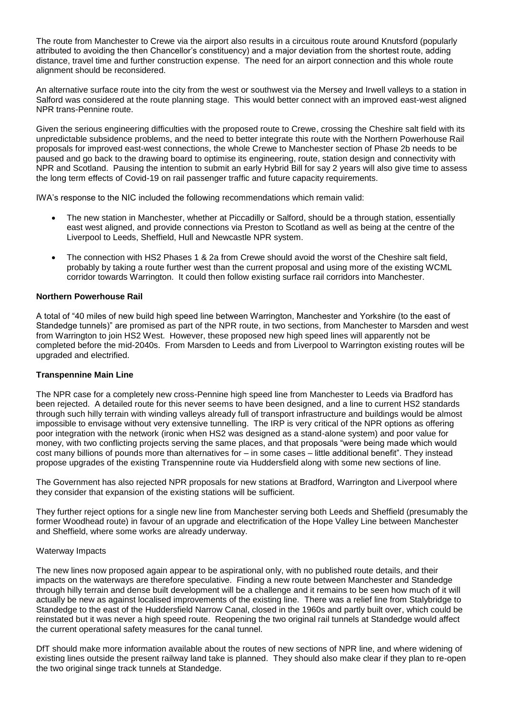The route from Manchester to Crewe via the airport also results in a circuitous route around Knutsford (popularly attributed to avoiding the then Chancellor's constituency) and a major deviation from the shortest route, adding distance, travel time and further construction expense. The need for an airport connection and this whole route alignment should be reconsidered.

An alternative surface route into the city from the west or southwest via the Mersey and Irwell valleys to a station in Salford was considered at the route planning stage. This would better connect with an improved east-west aligned NPR trans-Pennine route.

Given the serious engineering difficulties with the proposed route to Crewe, crossing the Cheshire salt field with its unpredictable subsidence problems, and the need to better integrate this route with the Northern Powerhouse Rail proposals for improved east-west connections, the whole Crewe to Manchester section of Phase 2b needs to be paused and go back to the drawing board to optimise its engineering, route, station design and connectivity with NPR and Scotland. Pausing the intention to submit an early Hybrid Bill for say 2 years will also give time to assess the long term effects of Covid-19 on rail passenger traffic and future capacity requirements.

IWA's response to the NIC included the following recommendations which remain valid:

- The new station in Manchester, whether at Piccadilly or Salford, should be a through station, essentially east west aligned, and provide connections via Preston to Scotland as well as being at the centre of the Liverpool to Leeds, Sheffield, Hull and Newcastle NPR system.
- The connection with HS2 Phases 1 & 2a from Crewe should avoid the worst of the Cheshire salt field, probably by taking a route further west than the current proposal and using more of the existing WCML corridor towards Warrington. It could then follow existing surface rail corridors into Manchester.

## **Northern Powerhouse Rail**

A total of "40 miles of new build high speed line between Warrington, Manchester and Yorkshire (to the east of Standedge tunnels)" are promised as part of the NPR route, in two sections, from Manchester to Marsden and west from Warrington to join HS2 West. However, these proposed new high speed lines will apparently not be completed before the mid-2040s. From Marsden to Leeds and from Liverpool to Warrington existing routes will be upgraded and electrified.

#### **Transpennine Main Line**

The NPR case for a completely new cross-Pennine high speed line from Manchester to Leeds via Bradford has been rejected. A detailed route for this never seems to have been designed, and a line to current HS2 standards through such hilly terrain with winding valleys already full of transport infrastructure and buildings would be almost impossible to envisage without very extensive tunnelling. The IRP is very critical of the NPR options as offering poor integration with the network (ironic when HS2 was designed as a stand-alone system) and poor value for money, with two conflicting projects serving the same places, and that proposals "were being made which would cost many billions of pounds more than alternatives for – in some cases – little additional benefit". They instead propose upgrades of the existing Transpennine route via Huddersfield along with some new sections of line.

The Government has also rejected NPR proposals for new stations at Bradford, Warrington and Liverpool where they consider that expansion of the existing stations will be sufficient.

They further reject options for a single new line from Manchester serving both Leeds and Sheffield (presumably the former Woodhead route) in favour of an upgrade and electrification of the Hope Valley Line between Manchester and Sheffield, where some works are already underway.

#### Waterway Impacts

The new lines now proposed again appear to be aspirational only, with no published route details, and their impacts on the waterways are therefore speculative. Finding a new route between Manchester and Standedge through hilly terrain and dense built development will be a challenge and it remains to be seen how much of it will actually be new as against localised improvements of the existing line. There was a relief line from Stalybridge to Standedge to the east of the Huddersfield Narrow Canal, closed in the 1960s and partly built over, which could be reinstated but it was never a high speed route. Reopening the two original rail tunnels at Standedge would affect the current operational safety measures for the canal tunnel.

DfT should make more information available about the routes of new sections of NPR line, and where widening of existing lines outside the present railway land take is planned. They should also make clear if they plan to re-open the two original singe track tunnels at Standedge.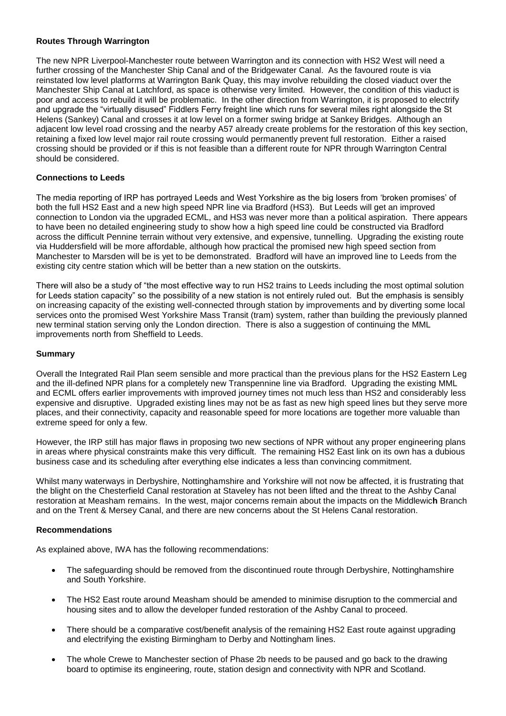# **Routes Through Warrington**

The new NPR Liverpool-Manchester route between Warrington and its connection with HS2 West will need a further crossing of the Manchester Ship Canal and of the Bridgewater Canal. As the favoured route is via reinstated low level platforms at Warrington Bank Quay, this may involve rebuilding the closed viaduct over the Manchester Ship Canal at Latchford, as space is otherwise very limited. However, the condition of this viaduct is poor and access to rebuild it will be problematic. In the other direction from Warrington, it is proposed to electrify and upgrade the "virtually disused" Fiddlers Ferry freight line which runs for several miles right alongside the St Helens (Sankey) Canal and crosses it at low level on a former swing bridge at Sankey Bridges. Although an adjacent low level road crossing and the nearby A57 already create problems for the restoration of this key section, retaining a fixed low level major rail route crossing would permanently prevent full restoration. Either a raised crossing should be provided or if this is not feasible than a different route for NPR through Warrington Central should be considered.

## **Connections to Leeds**

The media reporting of IRP has portrayed Leeds and West Yorkshire as the big losers from 'broken promises' of both the full HS2 East and a new high speed NPR line via Bradford (HS3). But Leeds will get an improved connection to London via the upgraded ECML, and HS3 was never more than a political aspiration. There appears to have been no detailed engineering study to show how a high speed line could be constructed via Bradford across the difficult Pennine terrain without very extensive, and expensive, tunnelling. Upgrading the existing route via Huddersfield will be more affordable, although how practical the promised new high speed section from Manchester to Marsden will be is yet to be demonstrated. Bradford will have an improved line to Leeds from the existing city centre station which will be better than a new station on the outskirts.

There will also be a study of "the most effective way to run HS2 trains to Leeds including the most optimal solution for Leeds station capacity" so the possibility of a new station is not entirely ruled out. But the emphasis is sensibly on increasing capacity of the existing well-connected through station by improvements and by diverting some local services onto the promised West Yorkshire Mass Transit (tram) system, rather than building the previously planned new terminal station serving only the London direction. There is also a suggestion of continuing the MML improvements north from Sheffield to Leeds.

### **Summary**

Overall the Integrated Rail Plan seem sensible and more practical than the previous plans for the HS2 Eastern Leg and the ill-defined NPR plans for a completely new Transpennine line via Bradford. Upgrading the existing MML and ECML offers earlier improvements with improved journey times not much less than HS2 and considerably less expensive and disruptive. Upgraded existing lines may not be as fast as new high speed lines but they serve more places, and their connectivity, capacity and reasonable speed for more locations are together more valuable than extreme speed for only a few.

However, the IRP still has major flaws in proposing two new sections of NPR without any proper engineering plans in areas where physical constraints make this very difficult. The remaining HS2 East link on its own has a dubious business case and its scheduling after everything else indicates a less than convincing commitment.

Whilst many waterways in Derbyshire, Nottinghamshire and Yorkshire will not now be affected, it is frustrating that the blight on the Chesterfield Canal restoration at Staveley has not been lifted and the threat to the Ashby Canal restoration at Measham remains. In the west, major concerns remain about the impacts on the Middlewic**h** Branch and on the Trent & Mersey Canal, and there are new concerns about the St Helens Canal restoration.

#### **Recommendations**

As explained above, IWA has the following recommendations:

- The safeguarding should be removed from the discontinued route through Derbyshire, Nottinghamshire and South Yorkshire.
- The HS2 East route around Measham should be amended to minimise disruption to the commercial and housing sites and to allow the developer funded restoration of the Ashby Canal to proceed.
- There should be a comparative cost/benefit analysis of the remaining HS2 East route against upgrading and electrifying the existing Birmingham to Derby and Nottingham lines.
- The whole Crewe to Manchester section of Phase 2b needs to be paused and go back to the drawing board to optimise its engineering, route, station design and connectivity with NPR and Scotland.